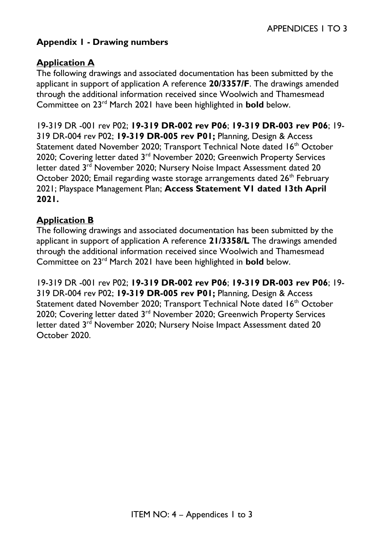# **Appendix 1 - Drawing numbers**

## **Application A**

The following drawings and associated documentation has been submitted by the applicant in support of application A reference **20/3357/F**. The drawings amended through the additional information received since Woolwich and Thamesmead Committee on 23rd March 2021 have been highlighted in **bold** below.

19-319 DR -001 rev P02; **19-319 DR-002 rev P06**; **19-319 DR-003 rev P06**; 19- 319 DR-004 rev P02; **19-319 DR-005 rev P01;** Planning, Design & Access Statement dated November 2020; Transport Technical Note dated 16<sup>th</sup> October 2020; Covering letter dated 3<sup>rd</sup> November 2020; Greenwich Property Services letter dated 3<sup>rd</sup> November 2020; Nursery Noise Impact Assessment dated 20 October 2020; Email regarding waste storage arrangements dated 26<sup>th</sup> February 2021; Playspace Management Plan; **Access Statement V1 dated 13th April 2021.**

### **Application B**

The following drawings and associated documentation has been submitted by the applicant in support of application A reference **21/3358/L** The drawings amended through the additional information received since Woolwich and Thamesmead Committee on 23rd March 2021 have been highlighted in **bold** below.

19-319 DR -001 rev P02; **19-319 DR-002 rev P06**; **19-319 DR-003 rev P06**; 19- 319 DR-004 rev P02; **19-319 DR-005 rev P01;** Planning, Design & Access Statement dated November 2020; Transport Technical Note dated 16<sup>th</sup> October 2020; Covering letter dated 3<sup>rd</sup> November 2020; Greenwich Property Services letter dated 3<sup>rd</sup> November 2020; Nursery Noise Impact Assessment dated 20 October 2020.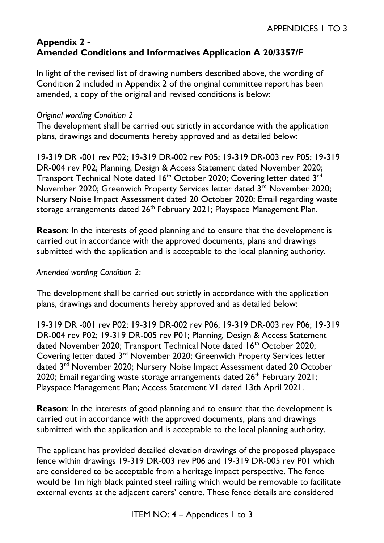### **Appendix 2 - Amended Conditions and Informatives Application A 20/3357/F**

In light of the revised list of drawing numbers described above, the wording of Condition 2 included in Appendix 2 of the original committee report has been amended, a copy of the original and revised conditions is below:

#### *Original wording Condition 2*

The development shall be carried out strictly in accordance with the application plans, drawings and documents hereby approved and as detailed below:

19-319 DR -001 rev P02; 19-319 DR-002 rev P05; 19-319 DR-003 rev P05; 19-319 DR-004 rev P02; Planning, Design & Access Statement dated November 2020; Transport Technical Note dated  $16<sup>th</sup>$  October 2020; Covering letter dated  $3<sup>rd</sup>$ November 2020; Greenwich Property Services letter dated 3<sup>rd</sup> November 2020; Nursery Noise Impact Assessment dated 20 October 2020; Email regarding waste storage arrangements dated 26<sup>th</sup> February 2021; Playspace Management Plan.

**Reason**: In the interests of good planning and to ensure that the development is carried out in accordance with the approved documents, plans and drawings submitted with the application and is acceptable to the local planning authority.

#### *Amended wording Condition 2*:

The development shall be carried out strictly in accordance with the application plans, drawings and documents hereby approved and as detailed below:

19-319 DR -001 rev P02; 19-319 DR-002 rev P06; 19-319 DR-003 rev P06; 19-319 DR-004 rev P02; 19-319 DR-005 rev P01; Planning, Design & Access Statement dated November 2020; Transport Technical Note dated 16<sup>th</sup> October 2020; Covering letter dated 3rd November 2020; Greenwich Property Services letter dated 3rd November 2020; Nursery Noise Impact Assessment dated 20 October 2020; Email regarding waste storage arrangements dated  $26<sup>th</sup>$  February 2021; Playspace Management Plan; Access Statement V1 dated 13th April 2021.

**Reason**: In the interests of good planning and to ensure that the development is carried out in accordance with the approved documents, plans and drawings submitted with the application and is acceptable to the local planning authority.

The applicant has provided detailed elevation drawings of the proposed playspace fence within drawings 19-319 DR-003 rev P06 and 19-319 DR-005 rev P01 which are considered to be acceptable from a heritage impact perspective. The fence would be 1m high black painted steel railing which would be removable to facilitate external events at the adjacent carers' centre. These fence details are considered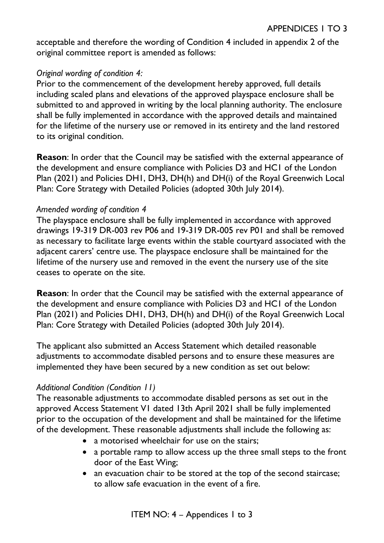acceptable and therefore the wording of Condition 4 included in appendix 2 of the original committee report is amended as follows:

## *Original wording of condition 4:*

Prior to the commencement of the development hereby approved, full details including scaled plans and elevations of the approved playspace enclosure shall be submitted to and approved in writing by the local planning authority. The enclosure shall be fully implemented in accordance with the approved details and maintained for the lifetime of the nursery use or removed in its entirety and the land restored to its original condition.

**Reason**: In order that the Council may be satisfied with the external appearance of the development and ensure compliance with Policies D3 and HC1 of the London Plan (2021) and Policies DH1, DH3, DH(h) and DH(i) of the Royal Greenwich Local Plan: Core Strategy with Detailed Policies (adopted 30th July 2014).

#### *Amended wording of condition 4*

The playspace enclosure shall be fully implemented in accordance with approved drawings 19-319 DR-003 rev P06 and 19-319 DR-005 rev P01 and shall be removed as necessary to facilitate large events within the stable courtyard associated with the adjacent carers' centre use. The playspace enclosure shall be maintained for the lifetime of the nursery use and removed in the event the nursery use of the site ceases to operate on the site.

**Reason**: In order that the Council may be satisfied with the external appearance of the development and ensure compliance with Policies D3 and HC1 of the London Plan (2021) and Policies DH1, DH3, DH(h) and DH(i) of the Royal Greenwich Local Plan: Core Strategy with Detailed Policies (adopted 30th July 2014).

The applicant also submitted an Access Statement which detailed reasonable adjustments to accommodate disabled persons and to ensure these measures are implemented they have been secured by a new condition as set out below:

# *Additional Condition (Condition 11)*

The reasonable adjustments to accommodate disabled persons as set out in the approved Access Statement V1 dated 13th April 2021 shall be fully implemented prior to the occupation of the development and shall be maintained for the lifetime of the development. These reasonable adjustments shall include the following as:

- a motorised wheelchair for use on the stairs:
- a portable ramp to allow access up the three small steps to the front door of the East Wing;
- an evacuation chair to be stored at the top of the second staircase; to allow safe evacuation in the event of a fire.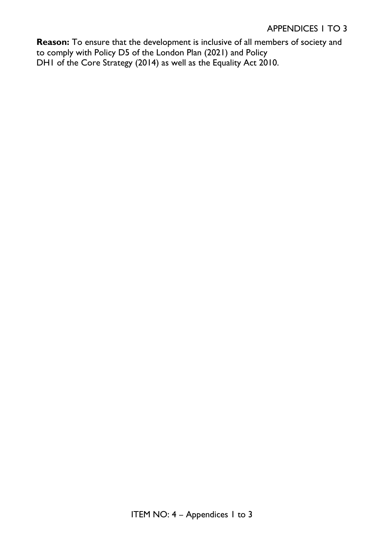#### APPENDICES 1 TO 3

**Reason:** To ensure that the development is inclusive of all members of society and to comply with Policy D5 of the London Plan (2021) and Policy DH1 of the Core Strategy (2014) as well as the Equality Act 2010.